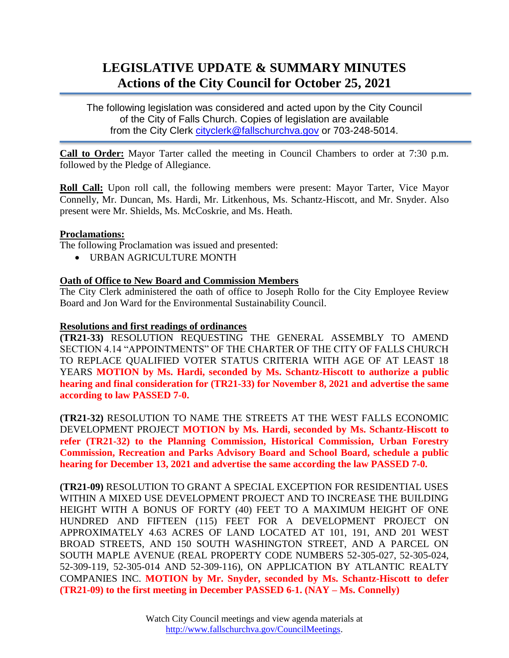# **LEGISLATIVE UPDATE & SUMMARY MINUTES Actions of the City Council for October 25, 2021**

The following legislation was considered and acted upon by the City Council of the City of Falls Church. Copies of legislation are available from the City Clerk [cityclerk@fallschurchva.gov](mailto:cityclerk@fallschurchva.gov) or 703-248-5014.

**Call to Order:** Mayor Tarter called the meeting in Council Chambers to order at 7:30 p.m. followed by the Pledge of Allegiance.

**Roll Call:** Upon roll call, the following members were present: Mayor Tarter, Vice Mayor Connelly, Mr. Duncan, Ms. Hardi, Mr. Litkenhous, Ms. Schantz-Hiscott, and Mr. Snyder. Also present were Mr. Shields, Ms. McCoskrie, and Ms. Heath.

## **Proclamations:**

The following Proclamation was issued and presented:

URBAN AGRICULTURE MONTH

#### **Oath of Office to New Board and Commission Members**

The City Clerk administered the oath of office to Joseph Rollo for the City Employee Review Board and Jon Ward for the Environmental Sustainability Council.

#### **Resolutions and first readings of ordinances**

**(TR21-33)** RESOLUTION REQUESTING THE GENERAL ASSEMBLY TO AMEND SECTION 4.14 "APPOINTMENTS" OF THE CHARTER OF THE CITY OF FALLS CHURCH TO REPLACE QUALIFIED VOTER STATUS CRITERIA WITH AGE OF AT LEAST 18 YEARS **MOTION by Ms. Hardi, seconded by Ms. Schantz-Hiscott to authorize a public hearing and final consideration for (TR21-33) for November 8, 2021 and advertise the same according to law PASSED 7-0.**

**(TR21-32)** RESOLUTION TO NAME THE STREETS AT THE WEST FALLS ECONOMIC DEVELOPMENT PROJECT **MOTION by Ms. Hardi, seconded by Ms. Schantz-Hiscott to refer (TR21-32) to the Planning Commission, Historical Commission, Urban Forestry Commission, Recreation and Parks Advisory Board and School Board, schedule a public hearing for December 13, 2021 and advertise the same according the law PASSED 7-0.**

**(TR21-09)** RESOLUTION TO GRANT A SPECIAL EXCEPTION FOR RESIDENTIAL USES WITHIN A MIXED USE DEVELOPMENT PROJECT AND TO INCREASE THE BUILDING HEIGHT WITH A BONUS OF FORTY (40) FEET TO A MAXIMUM HEIGHT OF ONE HUNDRED AND FIFTEEN (115) FEET FOR A DEVELOPMENT PROJECT ON APPROXIMATELY 4.63 ACRES OF LAND LOCATED AT 101, 191, AND 201 WEST BROAD STREETS, AND 150 SOUTH WASHINGTON STREET, AND A PARCEL ON SOUTH MAPLE AVENUE (REAL PROPERTY CODE NUMBERS 52-305-027, 52-305-024, 52-309-119, 52-305-014 AND 52-309-116), ON APPLICATION BY ATLANTIC REALTY COMPANIES INC. **MOTION by Mr. Snyder, seconded by Ms. Schantz-Hiscott to defer (TR21-09) to the first meeting in December PASSED 6-1. (NAY – Ms. Connelly)**